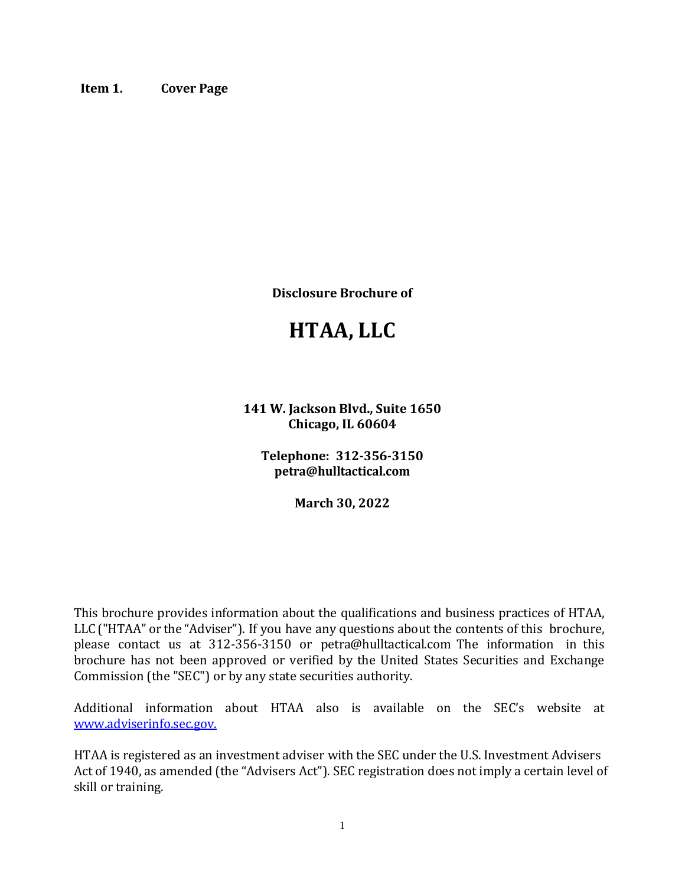<span id="page-0-0"></span>**Item 1. Cover Page**

**Disclosure Brochure of**

# **HTAA, LLC**

**141 W. Jackson Blvd., Suite 1650 Chicago, IL 60604**

**Telephone: 312-356-3150 petra@hulltactical.com**

**March 30, 2022**

This brochure provides information about the qualifications and business practices of HTAA, LLC ("HTAA" or the "Adviser"). If you have any questions about the contents of this brochure, please contact us at 312-356-3150 or petra@hulltactical.com The information in this brochure has not been approved or verified by the United States Securities and Exchange Commission (the "SEC") or by any state securities authority.

Additional information about HTAA also is available on the SEC's website at [www.adviserinfo.sec.gov.](http://www.adviserinfo.sec.gov./)

HTAA is registered as an investment adviser with the SEC under the U.S. Investment Advisers Act of 1940, as amended (the "Advisers Act"). SEC registration does not imply a certain level of skill or training.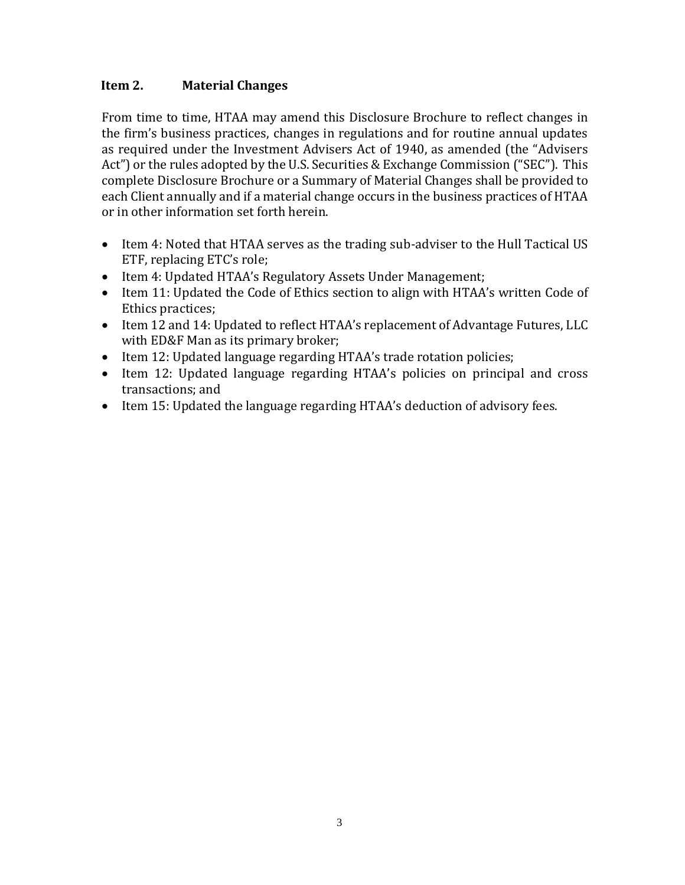### <span id="page-1-0"></span> **Item 2. Material Changes**

From time to time, HTAA may amend this Disclosure Brochure to reflect changes in the firm's business practices, changes in regulations and for routine annual updates as required under the Investment Advisers Act of 1940, as amended (the "Advisers Act") or the rules adopted by the U.S. Securities & Exchange Commission ("SEC"). This complete Disclosure Brochure or a Summary of Material Changes shall be provided to each Client annually and if a material change occurs in the business practices of HTAA or in other information set forth herein.

- Item 4: Noted that HTAA serves as the trading sub-adviser to the Hull Tactical US ETF, replacing ETC's role;
- Item 4: Updated HTAA's Regulatory Assets Under Management;
- Item 11: Updated the Code of Ethics section to align with HTAA's written Code of Ethics practices;
- Item 12 and 14: Updated to reflect HTAA's replacement of Advantage Futures, LLC with ED&F Man as its primary broker;
- Item 12: Updated language regarding HTAA's trade rotation policies;
- Item 12: Updated language regarding HTAA's policies on principal and cross transactions; and
- Item 15: Updated the language regarding HTAA's deduction of advisory fees.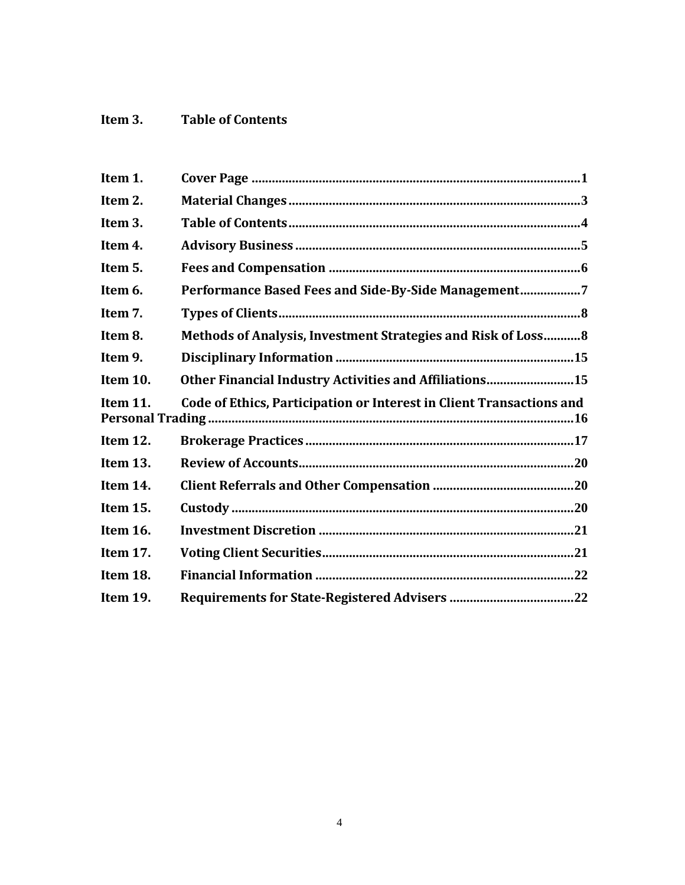# <span id="page-2-0"></span>**Item 3. Table of Contents**

| Performance Based Fees and Side-By-Side Management7                  |
|----------------------------------------------------------------------|
|                                                                      |
| Methods of Analysis, Investment Strategies and Risk of Loss 8        |
|                                                                      |
| Other Financial Industry Activities and Affiliations15               |
| Code of Ethics, Participation or Interest in Client Transactions and |
|                                                                      |
|                                                                      |
|                                                                      |
|                                                                      |
|                                                                      |
|                                                                      |
|                                                                      |
|                                                                      |
|                                                                      |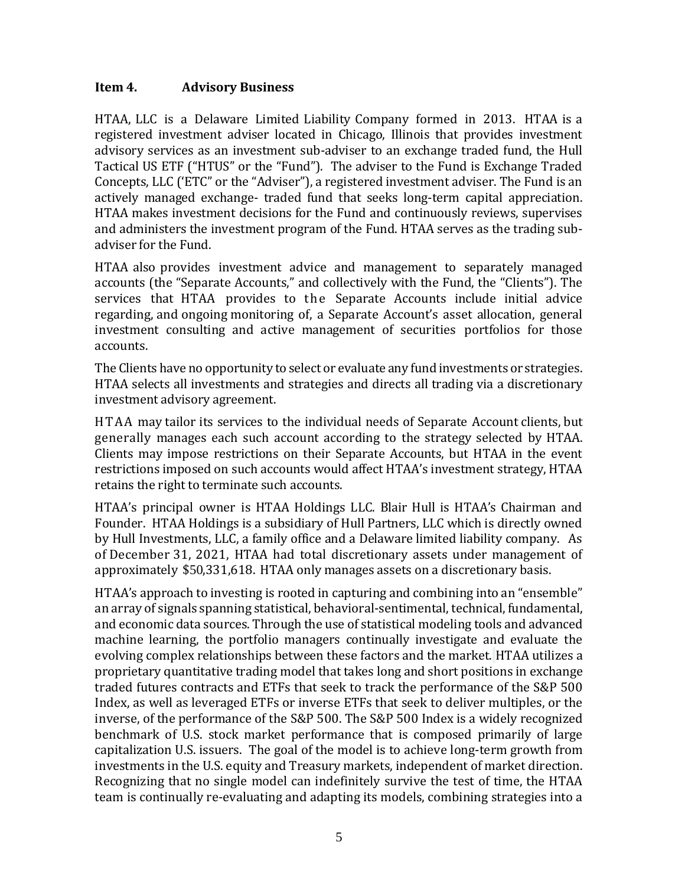#### <span id="page-3-0"></span>**Item 4. Advisory Business**

HTAA, LLC is a Delaware Limited Liability Company formed in 2013. HTAA is a registered investment adviser located in Chicago, Illinois that provides investment advisory services as an investment sub-adviser to an exchange traded fund, the Hull Tactical US ETF ("HTUS" or the "Fund"). The adviser to the Fund is Exchange Traded Concepts, LLC ('ETC" or the "Adviser"), a registered investment adviser. The Fund is an actively managed exchange- traded fund that seeks long-term capital appreciation. HTAA makes investment decisions for the Fund and continuously reviews, supervises and administers the investment program of the Fund. HTAA serves as the trading subadviser for the Fund.

HTAA also provides investment advice and management to separately managed accounts (the "Separate Accounts," and collectively with the Fund, the "Clients"). The services that HTAA provides to the Separate Accounts include initial advice regarding, and ongoing monitoring of, a Separate Account's asset allocation, general investment consulting and active management of securities portfolios for those accounts.

The Clients have no opportunity to select or evaluate any fund investments or strategies. HTAA selects all investments and strategies and directs all trading via a discretionary investment advisory agreement.

HTAA may tailor its services to the individual needs of Separate Account clients, but generally manages each such account according to the strategy selected by HTAA. Clients may impose restrictions on their Separate Accounts, but HTAA in the event restrictions imposed on such accounts would affect HTAA's investment strategy, HTAA retains the right to terminate such accounts.

HTAA's principal owner is HTAA Holdings LLC. Blair Hull is HTAA's Chairman and Founder. HTAA Holdings is a subsidiary of Hull Partners, LLC which is directly owned by Hull Investments, LLC, a family office and a Delaware limited liability company. As of December 31, 2021, HTAA had total discretionary assets under management of approximately \$50,331,618. HTAA only manages assets on a discretionary basis.

HTAA's approach to investing is rooted in capturing and combining into an "ensemble" an array of signals spanning statistical, behavioral-sentimental, technical, fundamental, and economic data sources. Through the use of statistical modeling tools and advanced machine learning, the portfolio managers continually investigate and evaluate the evolving complex relationships between these factors and the market. HTAA utilizes a proprietary quantitative trading model that takes long and short positions in exchange traded futures contracts and ETFs that seek to track the performance of the S&P 500 Index, as well as leveraged ETFs or inverse ETFs that seek to deliver multiples, or the inverse, of the performance of the S&P 500. The S&P 500 Index is a widely recognized benchmark of U.S. stock market performance that is composed primarily of large capitalization U.S. issuers. The goal of the model is to achieve long-term growth from investments in the U.S. equity and Treasury markets, independent of market direction. Recognizing that no single model can indefinitely survive the test of time, the HTAA team is continually re-evaluating and adapting its models, combining strategies into a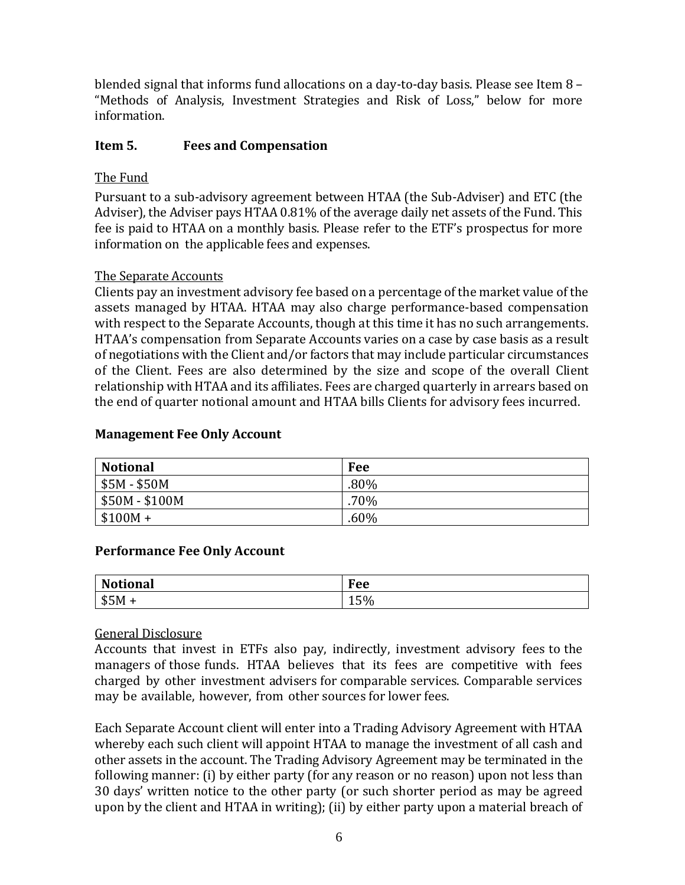blended signal that informs fund allocations on a day-to-day basis. Please see Item 8 – "Methods of Analysis, Investment Strategies and Risk of Loss," below for more information.

### <span id="page-4-0"></span>**Item 5. Fees and Compensation**

## The Fund

Pursuant to a sub-advisory agreement between HTAA (the Sub-Adviser) and ETC (the Adviser), the Adviser pays HTAA 0.81% of the average daily net assets of the Fund. This fee is paid to HTAA on a monthly basis. Please refer to the ETF's prospectus for more information on the applicable fees and expenses.

#### The Separate Accounts

Clients pay an investment advisory fee based on a percentage of the market value of the assets managed by HTAA. HTAA may also charge performance-based compensation with respect to the Separate Accounts, though at this time it has no such arrangements. HTAA's compensation from Separate Accounts varies on a case by case basis as a result of negotiations with the Client and/or factors that may include particular circumstances of the Client. Fees are also determined by the size and scope of the overall Client relationship with HTAA and its affiliates. Fees are charged quarterly in arrears based on the end of quarter notional amount and HTAA bills Clients for advisory fees incurred.

#### **Management Fee Only Account**

| <b>Notional</b> | Fee     |
|-----------------|---------|
| $$5M - $50M$    | $.80\%$ |
| \$50M - \$100M  | $.70\%$ |
| $$100M +$       | .60%    |

#### **Performance Fee Only Account**

| <b>Notional</b> | Fee                              |
|-----------------|----------------------------------|
| \$5M            | $F^{\prime}$<br>15 <sub>70</sub> |

#### General Disclosure

Accounts that invest in ETFs also pay, indirectly, investment advisory fees to the managers of those funds. HTAA believes that its fees are competitive with fees charged by other investment advisers for comparable services. Comparable services may be available, however, from other sources for lower fees.

Each Separate Account client will enter into a Trading Advisory Agreement with HTAA whereby each such client will appoint HTAA to manage the investment of all cash and other assets in the account. The Trading Advisory Agreement may be terminated in the following manner: (i) by either party (for any reason or no reason) upon not less than 30 days' written notice to the other party (or such shorter period as may be agreed upon by the client and HTAA in writing); (ii) by either party upon a material breach of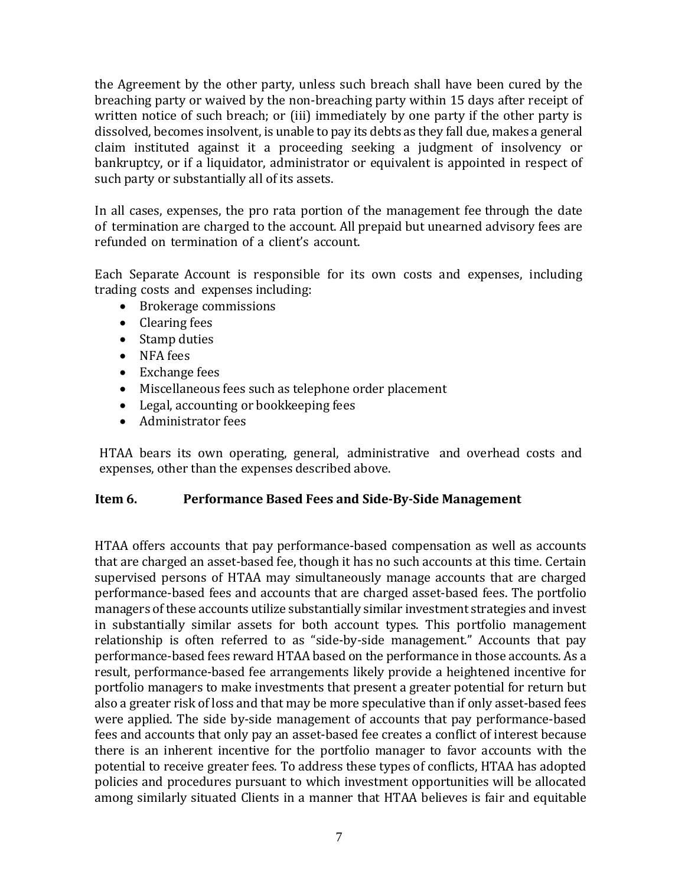the Agreement by the other party, unless such breach shall have been cured by the breaching party or waived by the non-breaching party within 15 days after receipt of written notice of such breach; or (iii) immediately by one party if the other party is dissolved, becomes insolvent, is unable to pay its debts as they fall due, makes a general claim instituted against it a proceeding seeking a judgment of insolvency or bankruptcy, or if a liquidator, administrator or equivalent is appointed in respect of such party or substantially all of its assets.

In all cases, expenses, the pro rata portion of the management fee through the date of termination are charged to the account. All prepaid but unearned advisory fees are refunded on termination of a client's account.

Each Separate Account is responsible for its own costs and expenses, including trading costs and expenses including:

- Brokerage commissions
- Clearing fees
- Stamp duties
- NFA fees
- Exchange fees
- Miscellaneous fees such as telephone order placement
- Legal, accounting or bookkeeping fees
- Administrator fees

HTAA bears its own operating, general, administrative and overhead costs and expenses, other than the expenses described above.

#### <span id="page-5-0"></span>**Item 6. Performance Based Fees and Side-By-Side Management**

HTAA offers accounts that pay performance-based compensation as well as accounts that are charged an asset-based fee, though it has no such accounts at this time. Certain supervised persons of HTAA may simultaneously manage accounts that are charged performance-based fees and accounts that are charged asset-based fees. The portfolio managers of these accounts utilize substantially similar investment strategies and invest in substantially similar assets for both account types. This portfolio management relationship is often referred to as "side-by-side management." Accounts that pay performance-based fees reward HTAA based on the performance in those accounts. As a result, performance-based fee arrangements likely provide a heightened incentive for portfolio managers to make investments that present a greater potential for return but also a greater risk of loss and that may be more speculative than if only asset-based fees were applied. The side by-side management of accounts that pay performance-based fees and accounts that only pay an asset-based fee creates a conflict of interest because there is an inherent incentive for the portfolio manager to favor accounts with the potential to receive greater fees. To address these types of conflicts, HTAA has adopted policies and procedures pursuant to which investment opportunities will be allocated among similarly situated Clients in a manner that HTAA believes is fair and equitable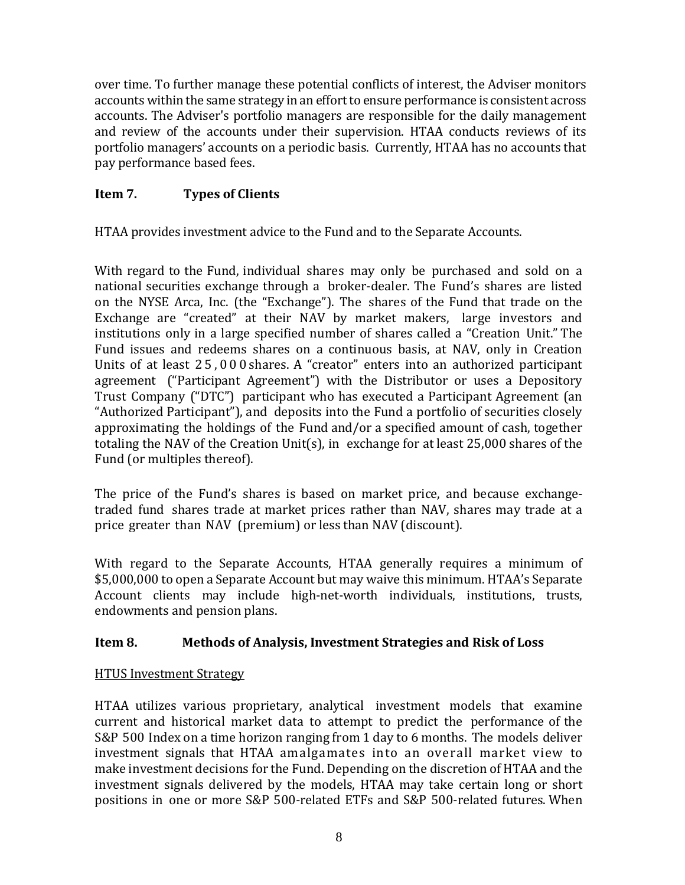over time. To further manage these potential conflicts of interest, the Adviser monitors accounts within the same strategy in an effort to ensure performance is consistent across accounts. The Adviser's portfolio managers are responsible for the daily management and review of the accounts under their supervision. HTAA conducts reviews of its portfolio managers' accounts on a periodic basis. Currently, HTAA has no accounts that pay performance based fees.

# <span id="page-6-0"></span>**Item 7. Types of Clients**

HTAA provides investment advice to the Fund and to the Separate Accounts.

With regard to the Fund, individual shares may only be purchased and sold on a national securities exchange through a broker-dealer. The Fund's shares are listed on the NYSE Arca, Inc. (the "Exchange"). The shares of the Fund that trade on the Exchange are "created" at their NAV by market makers, large investors and institutions only in a large specified number of shares called a "Creation Unit." The Fund issues and redeems shares on a continuous basis, at NAV, only in Creation Units of at least 2 5 , 0 0 0 shares. A "creator" enters into an authorized participant agreement ("Participant Agreement") with the Distributor or uses a Depository Trust Company ("DTC") participant who has executed a Participant Agreement (an "Authorized Participant"), and deposits into the Fund a portfolio of securities closely approximating the holdings of the Fund and/or a specified amount of cash, together totaling the NAV of the Creation Unit(s), in exchange for at least 25,000 shares of the Fund (or multiples thereof).

The price of the Fund's shares is based on market price, and because exchangetraded fund shares trade at market prices rather than NAV, shares may trade at a price greater than NAV (premium) or less than NAV (discount).

With regard to the Separate Accounts, HTAA generally requires a minimum of \$5,000,000 to open a Separate Account but may waive this minimum. HTAA's Separate Account clients may include high-net-worth individuals, institutions, trusts, endowments and pension plans.

# <span id="page-6-1"></span>**Item 8. Methods of Analysis, Investment Strategies and Risk of Loss**

#### HTUS Investment Strategy

HTAA utilizes various proprietary, analytical investment models that examine current and historical market data to attempt to predict the performance of the S&P 500 Index on a time horizon ranging from 1 day to 6 months. The models deliver investment signals that HTAA amalgamates into an overall market view to make investment decisions for the Fund. Depending on the discretion of HTAA and the investment signals delivered by the models, HTAA may take certain long or short positions in one or more S&P 500-related ETFs and S&P 500-related futures. When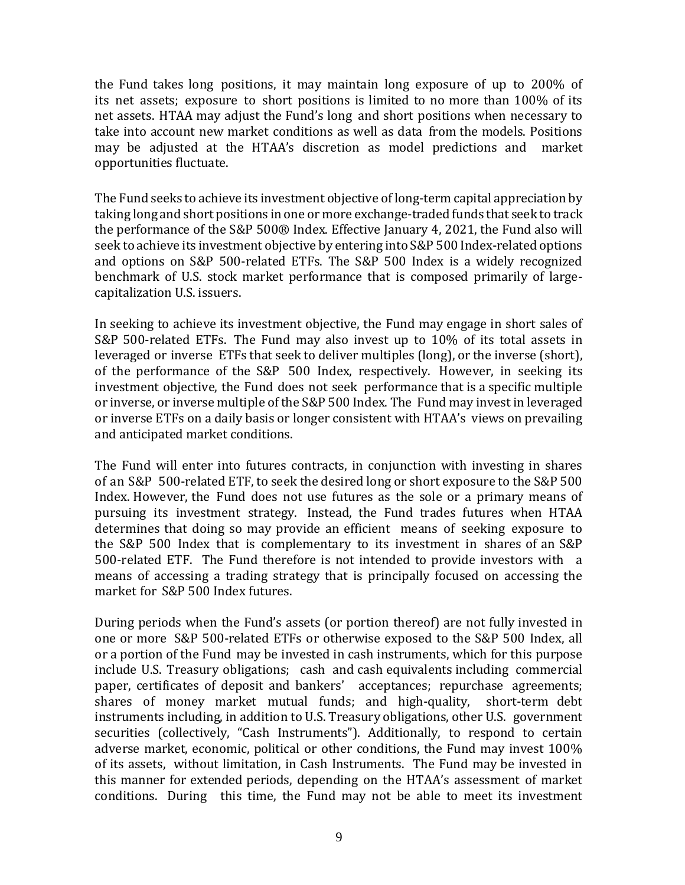the Fund takes long positions, it may maintain long exposure of up to 200% of its net assets; exposure to short positions is limited to no more than 100% of its net assets. HTAA may adjust the Fund's long and short positions when necessary to take into account new market conditions as well as data from the models. Positions may be adjusted at the HTAA's discretion as model predictions and market opportunities fluctuate.

The Fund seeks to achieve its investment objective of long-term capital appreciation by taking long and short positions in one or more exchange-traded funds that seek to track the performance of the S&P 500® Index. Effective January 4, 2021, the Fund also will seek to achieve its investment objective by entering into S&P 500 Index-related options and options on S&P 500-related ETFs. The S&P 500 Index is a widely recognized benchmark of U.S. stock market performance that is composed primarily of largecapitalization U.S. issuers.

In seeking to achieve its investment objective, the Fund may engage in short sales of S&P 500-related ETFs. The Fund may also invest up to 10% of its total assets in leveraged or inverse ETFs that seek to deliver multiples (long), or the inverse (short), of the performance of the S&P 500 Index, respectively. However, in seeking its investment objective, the Fund does not seek performance that is a specific multiple or inverse, or inverse multiple of theS&P 500 Index. The Fund may invest in leveraged or inverse ETFs on a daily basis or longer consistent with HTAA's views on prevailing and anticipated market conditions.

The Fund will enter into futures contracts, in conjunction with investing in shares of an S&P 500-related ETF, to seek the desired long or short exposure to the S&P 500 Index. However, the Fund does not use futures as the sole or a primary means of pursuing its investment strategy. Instead, the Fund trades futures when HTAA determines that doing so may provide an efficient means of seeking exposure to the S&P 500 Index that is complementary to its investment in shares of an S&P 500-related ETF. The Fund therefore is not intended to provide investors with a means of accessing a trading strategy that is principally focused on accessing the market for S&P 500 Index futures.

During periods when the Fund's assets (or portion thereof) are not fully invested in one or more S&P 500-related ETFs or otherwise exposed to the S&P 500 Index, all or a portion of the Fund may be invested in cash instruments, which for this purpose include U.S. Treasury obligations; cash and cash equivalents including commercial paper, certificates of deposit and bankers' acceptances; repurchase agreements; shares of money market mutual funds; and high-quality, short-term debt instruments including, in addition to U.S. Treasury obligations, other U.S. government securities (collectively, "Cash Instruments"). Additionally, to respond to certain adverse market, economic, political or other conditions, the Fund may invest 100% of its assets, without limitation, in Cash Instruments. The Fund may be invested in this manner for extended periods, depending on the HTAA's assessment of market conditions. During this time, the Fund may not be able to meet its investment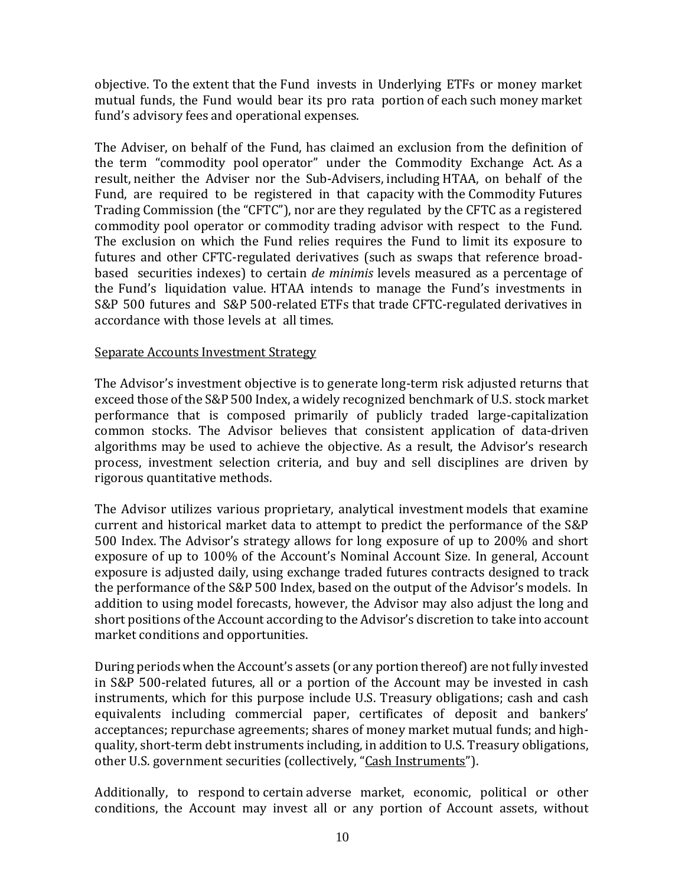objective. To the extent that the Fund invests in Underlying ETFs or money market mutual funds, the Fund would bear its pro rata portion of each such money market fund's advisory fees and operational expenses.

The Adviser, on behalf of the Fund, has claimed an exclusion from the definition of the term "commodity pool operator" under the Commodity Exchange Act. As a result, neither the Adviser nor the Sub-Advisers, including HTAA, on behalf of the Fund, are required to be registered in that capacity with the Commodity Futures Trading Commission (the "CFTC"), nor are they regulated by the CFTC as a registered commodity pool operator or commodity trading advisor with respect to the Fund. The exclusion on which the Fund relies requires the Fund to limit its exposure to futures and other CFTC-regulated derivatives (such as swaps that reference broadbased securities indexes) to certain *de minimis* levels measured as a percentage of the Fund's liquidation value. HTAA intends to manage the Fund's investments in S&P 500 futures and S&P 500-related ETFs that trade CFTC-regulated derivatives in accordance with those levels at all times.

#### Separate Accounts Investment Strategy

The Advisor's investment objective is to generate long-term risk adjusted returns that exceed those of the S&P 500 Index, a widely recognized benchmark of U.S. stock market performance that is composed primarily of publicly traded large-capitalization common stocks. The Advisor believes that consistent application of data-driven algorithms may be used to achieve the objective. As a result, the Advisor's research process, investment selection criteria, and buy and sell disciplines are driven by rigorous quantitative methods.

The Advisor utilizes various proprietary, analytical investment models that examine current and historical market data to attempt to predict the performance of the S&P 500 Index. The Advisor's strategy allows for long exposure of up to 200% and short exposure of up to 100% of the Account's Nominal Account Size. In general, Account exposure is adjusted daily, using exchange traded futures contracts designed to track the performance of the S&P 500 Index, based on the output of the Advisor's models. In addition to using model forecasts, however, the Advisor may also adjust the long and short positions of the Account according to the Advisor's discretion to take into account market conditions and opportunities.

During periods when the Account's assets (or any portion thereof) are not fully invested in S&P 500-related futures, all or a portion of the Account may be invested in cash instruments, which for this purpose include U.S. Treasury obligations; cash and cash equivalents including commercial paper, certificates of deposit and bankers' acceptances; repurchase agreements; shares of money market mutual funds; and highquality, short-term debt instruments including, in addition to U.S. Treasury obligations, other U.S. government securities (collectively, "Cash Instruments").

Additionally, to respond to certain adverse market, economic, political or other conditions, the Account may invest all or any portion of Account assets, without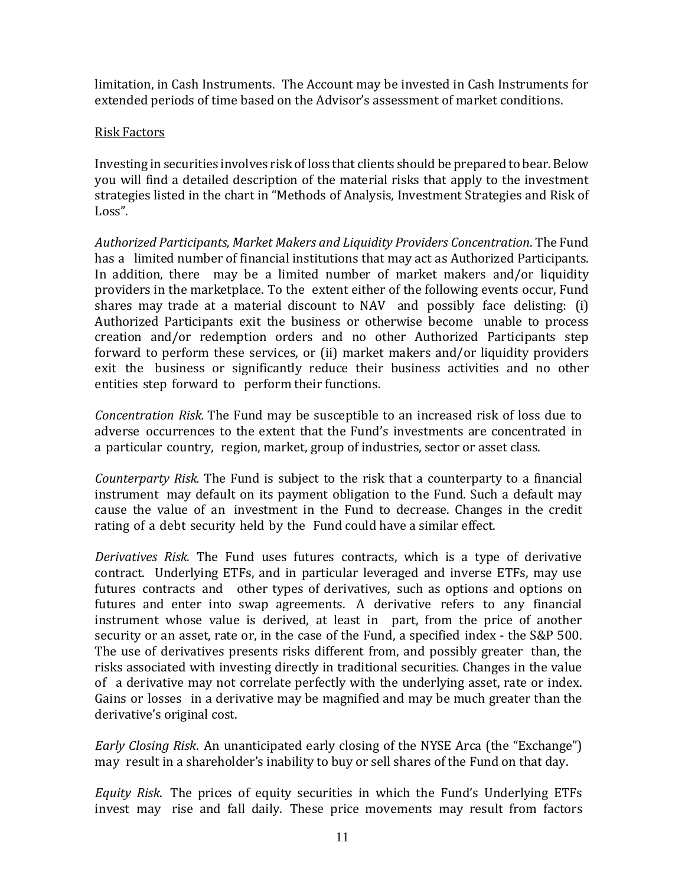limitation, in Cash Instruments. The Account may be invested in Cash Instruments for extended periods of time based on the Advisor's assessment of market conditions.

#### Risk Factors

Investing in securities involves risk of loss that clients should be prepared to bear. Below you will find a detailed description of the material risks that apply to the investment strategies listed in the chart in "Methods of Analysis, Investment Strategies and Risk of Loss".

*Authorized Participants, Market Makers and Liquidity Providers Concentration*. The Fund has a limited number of financial institutions that may act as Authorized Participants. In addition, there may be a limited number of market makers and/or liquidity providers in the marketplace. To the extent either of the following events occur, Fund shares may trade at a material discount to NAV and possibly face delisting: (i) Authorized Participants exit the business or otherwise become unable to process creation and/or redemption orders and no other Authorized Participants step forward to perform these services, or (ii) market makers and/or liquidity providers exit the business or significantly reduce their business activities and no other entities step forward to perform their functions.

*Concentration Risk.* The Fund may be susceptible to an increased risk of loss due to adverse occurrences to the extent that the Fund's investments are concentrated in a particular country, region, market, group of industries, sector or asset class.

*Counterparty Risk.* The Fund is subject to the risk that a counterparty to a financial instrument may default on its payment obligation to the Fund. Such a default may cause the value of an investment in the Fund to decrease. Changes in the credit rating of a debt security held by the Fund could have a similar effect.

*Derivatives Risk.* The Fund uses futures contracts, which is a type of derivative contract. Underlying ETFs, and in particular leveraged and inverse ETFs, may use futures contracts and other types of derivatives, such as options and options on futures and enter into swap agreements. A derivative refers to any financial instrument whose value is derived, at least in part, from the price of another security or an asset, rate or, in the case of the Fund, a specified index - the S&P 500. The use of derivatives presents risks different from, and possibly greater than, the risks associated with investing directly in traditional securities. Changes in the value of a derivative may not correlate perfectly with the underlying asset, rate or index. Gains or losses in a derivative may be magnified and may be much greater than the derivative's original cost.

*Early Closing Risk*. An unanticipated early closing of the NYSE Arca (the "Exchange") may result in a shareholder's inability to buy or sell shares of the Fund on that day.

*Equity Risk*. The prices of equity securities in which the Fund's Underlying ETFs invest may rise and fall daily. These price movements may result from factors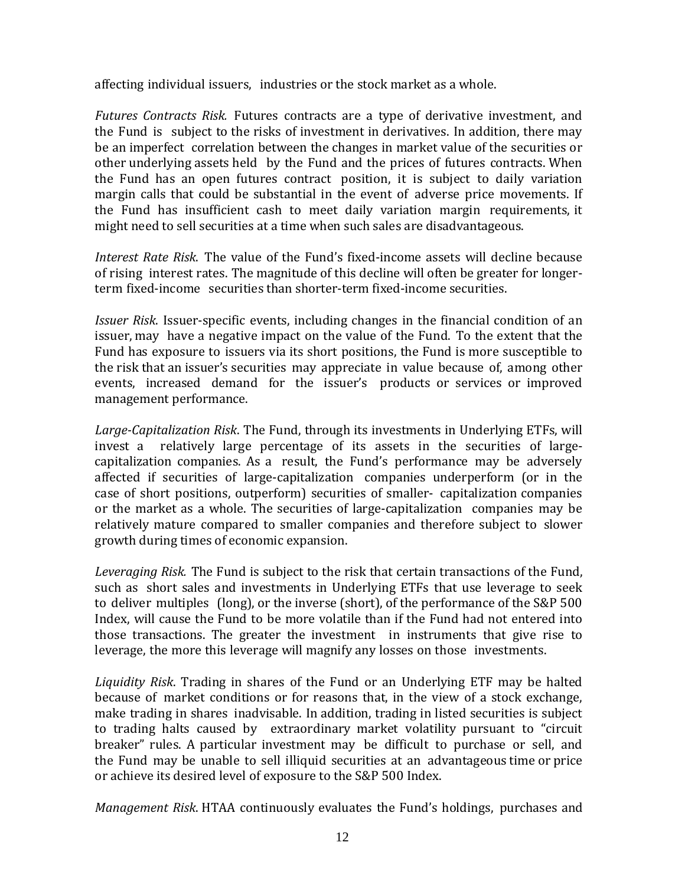affecting individual issuers, industries or the stock market as a whole.

*Futures Contracts Risk.* Futures contracts are a type of derivative investment, and the Fund is subject to the risks of investment in derivatives. In addition, there may be an imperfect correlation between the changes in market value of the securities or other underlying assets held by the Fund and the prices of futures contracts. When the Fund has an open futures contract position, it is subject to daily variation margin calls that could be substantial in the event of adverse price movements. If the Fund has insufficient cash to meet daily variation margin requirements, it might need to sell securities at a time when such sales are disadvantageous.

*Interest Rate Risk*. The value of the Fund's fixed-income assets will decline because of rising interest rates. The magnitude of this decline will often be greater for longerterm fixed-income securities than shorter-term fixed-income securities.

*Issuer Risk*. Issuer-specific events, including changes in the financial condition of an issuer, may have a negative impact on the value of the Fund. To the extent that the Fund has exposure to issuers via its short positions, the Fund is more susceptible to the risk that an issuer's securities may appreciate in value because of, among other events, increased demand for the issuer's products or services or improved management performance.

*Large-Capitalization Risk*. The Fund, through its investments in Underlying ETFs, will invest a relatively large percentage of its assets in the securities of largecapitalization companies. As a result, the Fund's performance may be adversely affected if securities of large-capitalization companies underperform (or in the case of short positions, outperform) securities of smaller- capitalization companies or the market as a whole. The securities of large-capitalization companies may be relatively mature compared to smaller companies and therefore subject to slower growth during times of economic expansion.

*Leveraging Risk.* The Fund is subject to the risk that certain transactions of the Fund, such as short sales and investments in Underlying ETFs that use leverage to seek to deliver multiples (long), or the inverse (short), of the performance of the S&P 500 Index, will cause the Fund to be more volatile than if the Fund had not entered into those transactions. The greater the investment in instruments that give rise to leverage, the more this leverage will magnify any losses on those investments.

*Liquidity Risk*. Trading in shares of the Fund or an Underlying ETF may be halted because of market conditions or for reasons that, in the view of a stock exchange, make trading in shares inadvisable. In addition, trading in listed securities is subject to trading halts caused by extraordinary market volatility pursuant to "circuit breaker" rules. A particular investment may be difficult to purchase or sell, and the Fund may be unable to sell illiquid securities at an advantageous time or price or achieve its desired level of exposure to the S&P 500 Index.

*Management Risk*. HTAA continuously evaluates the Fund's holdings, purchases and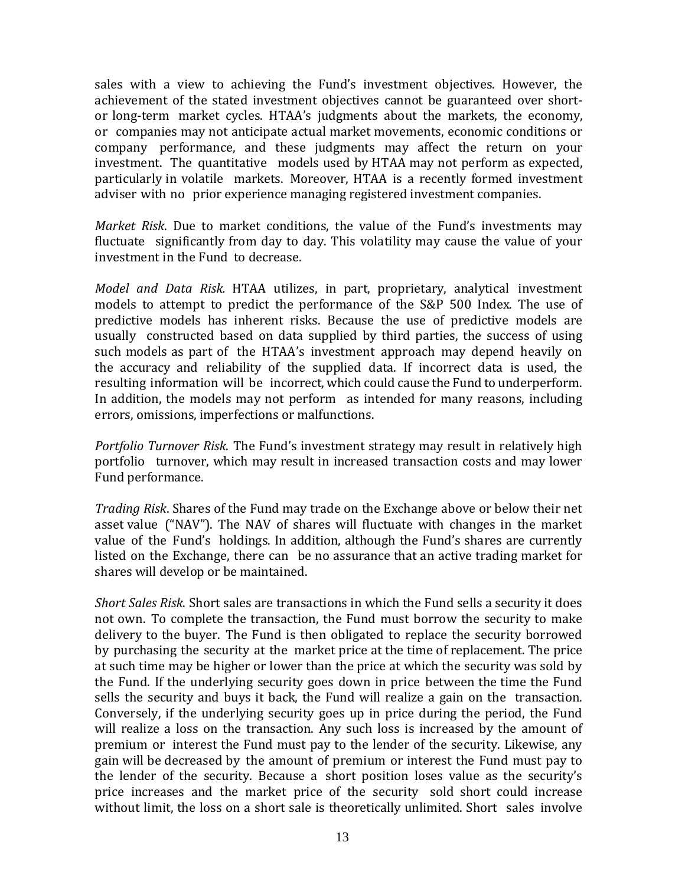sales with a view to achieving the Fund's investment objectives. However, the achievement of the stated investment objectives cannot be guaranteed over shortor long-term market cycles. HTAA's judgments about the markets, the economy, or companies may not anticipate actual market movements, economic conditions or company performance, and these judgments may affect the return on your investment. The quantitative models used by HTAA may not perform as expected, particularly in volatile markets. Moreover, HTAA is a recently formed investment adviser with no prior experience managing registered investment companies.

*Market Risk*. Due to market conditions, the value of the Fund's investments may fluctuate significantly from day to day. This volatility may cause the value of your investment in the Fund to decrease.

*Model and Data Risk.* HTAA utilizes, in part, proprietary, analytical investment models to attempt to predict the performance of the S&P 500 Index. The use of predictive models has inherent risks. Because the use of predictive models are usually constructed based on data supplied by third parties, the success of using such models as part of the HTAA's investment approach may depend heavily on the accuracy and reliability of the supplied data. If incorrect data is used, the resulting information will be incorrect, which could cause the Fund to underperform. In addition, the models may not perform as intended for many reasons, including errors, omissions, imperfections or malfunctions.

*Portfolio Turnover Risk*. The Fund's investment strategy may result in relatively high portfolio turnover, which may result in increased transaction costs and may lower Fund performance.

*Trading Risk*. Shares of the Fund may trade on the Exchange above or below their net asset value ("NAV"). The NAV of shares will fluctuate with changes in the market value of the Fund's holdings. In addition, although the Fund's shares are currently listed on the Exchange, there can be no assurance that an active trading market for shares will develop or be maintained.

*Short Sales Risk*. Short sales are transactions in which the Fund sells a security it does not own. To complete the transaction, the Fund must borrow the security to make delivery to the buyer. The Fund is then obligated to replace the security borrowed by purchasing the security at the market price at the time of replacement. The price at such time may be higher or lower than the price at which the security was sold by the Fund. If the underlying security goes down in price between the time the Fund sells the security and buys it back, the Fund will realize a gain on the transaction. Conversely, if the underlying security goes up in price during the period, the Fund will realize a loss on the transaction. Any such loss is increased by the amount of premium or interest the Fund must pay to the lender of the security. Likewise, any gain will be decreased by the amount of premium or interest the Fund must pay to the lender of the security. Because a short position loses value as the security's price increases and the market price of the security sold short could increase without limit, the loss on a short sale is theoretically unlimited. Short sales involve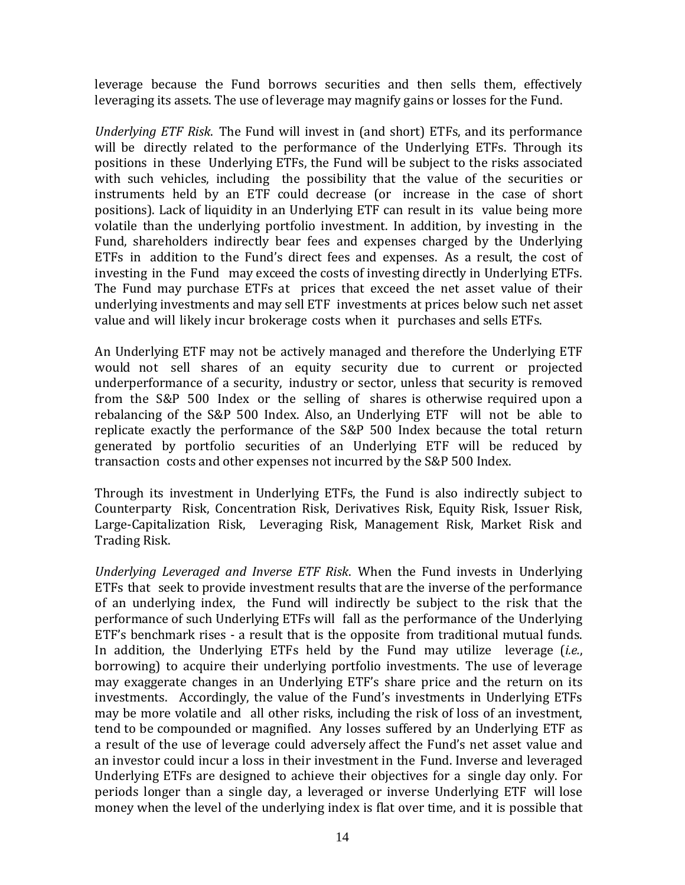leverage because the Fund borrows securities and then sells them, effectively leveraging its assets. The use of leverage may magnify gains or losses for the Fund.

*Underlying ETF Risk*. The Fund will invest in (and short) ETFs, and its performance will be directly related to the performance of the Underlying ETFs. Through its positions in these Underlying ETFs, the Fund will be subject to the risks associated with such vehicles, including the possibility that the value of the securities or instruments held by an ETF could decrease (or increase in the case of short positions). Lack of liquidity in an Underlying ETF can result in its value being more volatile than the underlying portfolio investment. In addition, by investing in the Fund, shareholders indirectly bear fees and expenses charged by the Underlying ETFs in addition to the Fund's direct fees and expenses. As a result, the cost of investing in the Fund may exceed the costs of investing directly in Underlying ETFs. The Fund may purchase ETFs at prices that exceed the net asset value of their underlying investments and may sell ETF investments at prices below such net asset value and will likely incur brokerage costs when it purchases and sells ETFs.

An Underlying ETF may not be actively managed and therefore the Underlying ETF would not sell shares of an equity security due to current or projected underperformance of a security, industry or sector, unless that security is removed from the S&P 500 Index or the selling of shares is otherwise required upon a rebalancing of the S&P 500 Index. Also, an Underlying ETF will not be able to replicate exactly the performance of the S&P 500 Index because the total return generated by portfolio securities of an Underlying ETF will be reduced by transaction costs and other expenses not incurred by the S&P 500 Index.

Through its investment in Underlying ETFs, the Fund is also indirectly subject to Counterparty Risk, Concentration Risk, Derivatives Risk, Equity Risk, Issuer Risk, Large-Capitalization Risk, Leveraging Risk, Management Risk, Market Risk and Trading Risk.

*Underlying Leveraged and Inverse ETF Risk*. When the Fund invests in Underlying ETFs that seek to provide investment results that are the inverse of the performance of an underlying index, the Fund will indirectly be subject to the risk that the performance of such Underlying ETFs will fall as the performance of the Underlying ETF's benchmark rises - a result that is the opposite from traditional mutual funds. In addition, the Underlying ETFs held by the Fund may utilize leverage (*i.e.*, borrowing) to acquire their underlying portfolio investments. The use of leverage may exaggerate changes in an Underlying ETF's share price and the return on its investments. Accordingly, the value of the Fund's investments in Underlying ETFs may be more volatile and all other risks, including the risk of loss of an investment, tend to be compounded or magnified. Any losses suffered by an Underlying ETF as a result of the use of leverage could adversely affect the Fund's net asset value and an investor could incur a loss in their investment in the Fund. Inverse and leveraged Underlying ETFs are designed to achieve their objectives for a single day only. For periods longer than a single day, a leveraged or inverse Underlying ETF will lose money when the level of the underlying index is flat over time, and it is possible that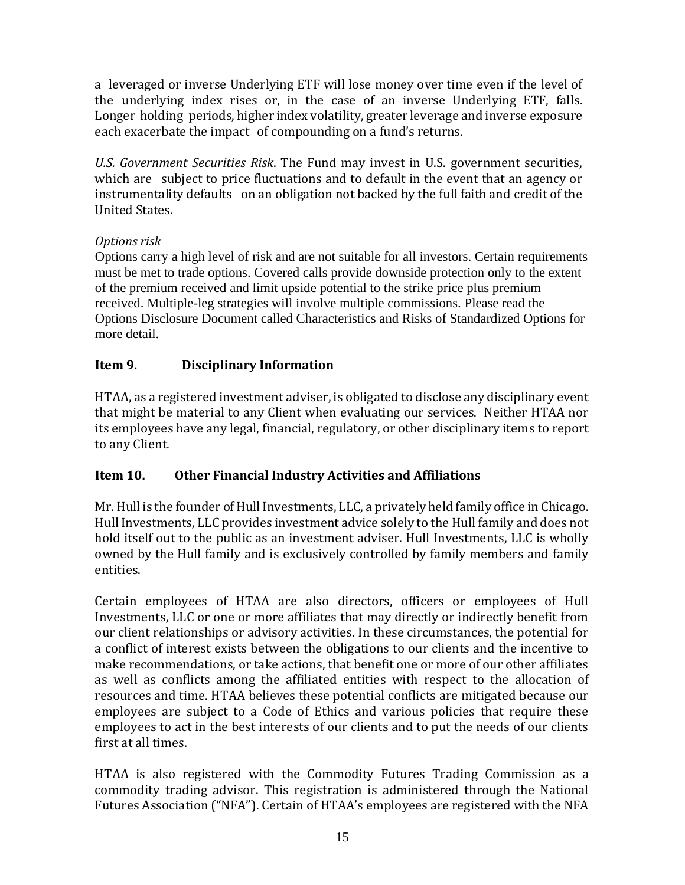a leveraged or inverse Underlying ETF will lose money over time even if the level of the underlying index rises or, in the case of an inverse Underlying ETF, falls. Longer holding periods, higher index volatility, greater leverage and inverse exposure each exacerbate the impact of compounding on a fund's returns.

*U.S. Government Securities Risk*. The Fund may invest in U.S. government securities, which are subject to price fluctuations and to default in the event that an agency or instrumentality defaults on an obligation not backed by the full faith and credit of the United States.

# *Options risk*

Options carry a high level of risk and are not suitable for all investors. Certain requirements must be met to trade options. Covered calls provide downside protection only to the extent of the premium received and limit upside potential to the strike price plus premium received. Multiple-leg strategies will involve multiple commissions. Please read the Options Disclosure Document called Characteristics and Risks of Standardized Options for more detail.

# <span id="page-13-0"></span>**Item 9. Disciplinary Information**

HTAA, as a registered investment adviser, is obligated to disclose any disciplinary event that might be material to any Client when evaluating our services. Neither HTAA nor its employees have any legal, financial, regulatory, or other disciplinary items to report to any Client.

# <span id="page-13-1"></span>**Item 10. Other Financial Industry Activities and Affiliations**

Mr. Hull is the founder of Hull Investments, LLC, a privately held family office in Chicago. Hull Investments, LLC provides investment advice solely to the Hull family and does not hold itself out to the public as an investment adviser. Hull Investments, LLC is wholly owned by the Hull family and is exclusively controlled by family members and family entities.

Certain employees of HTAA are also directors, officers or employees of Hull Investments, LLC or one or more affiliates that may directly or indirectly benefit from our client relationships or advisory activities. In these circumstances, the potential for a conflict of interest exists between the obligations to our clients and the incentive to make recommendations, or take actions, that benefit one or more of our other affiliates as well as conflicts among the affiliated entities with respect to the allocation of resources and time. HTAA believes these potential conflicts are mitigated because our employees are subject to a Code of Ethics and various policies that require these employees to act in the best interests of our clients and to put the needs of our clients first at all times.

HTAA is also registered with the Commodity Futures Trading Commission as a commodity trading advisor. This registration is administered through the National Futures Association ("NFA"). Certain of HTAA's employees are registered with the NFA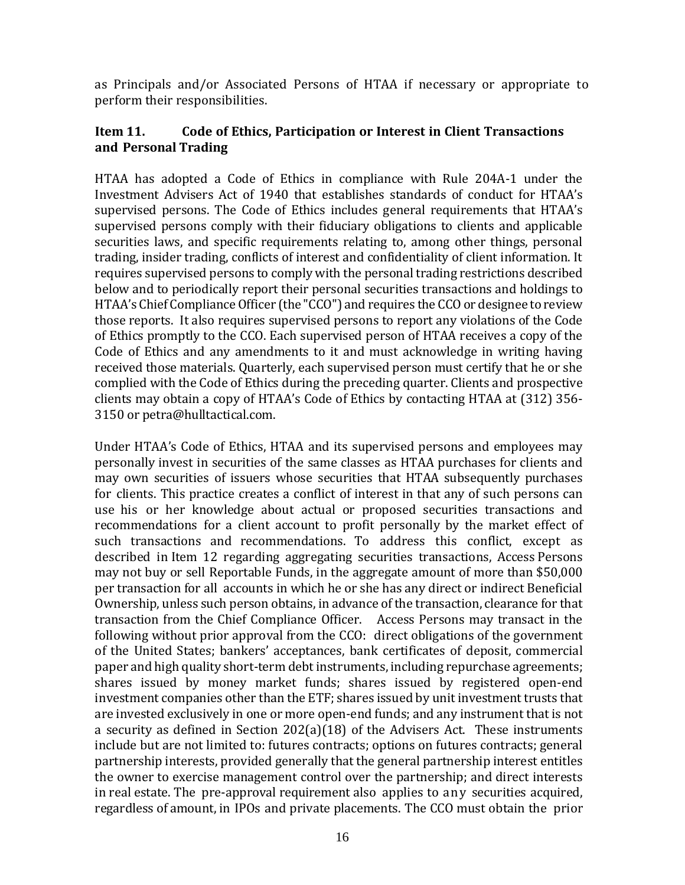as Principals and/or Associated Persons of HTAA if necessary or appropriate to perform their responsibilities.

#### <span id="page-14-0"></span>**Item 11. Code of Ethics, Participation or Interest in Client Transactions and Personal Trading**

HTAA has adopted a Code of Ethics in compliance with Rule 204A-1 under the Investment Advisers Act of 1940 that establishes standards of conduct for HTAA's supervised persons. The Code of Ethics includes general requirements that HTAA's supervised persons comply with their fiduciary obligations to clients and applicable securities laws, and specific requirements relating to, among other things, personal trading, insider trading, conflicts of interest and confidentiality of client information. It requires supervised persons to comply with the personal trading restrictions described below and to periodically report their personal securities transactions and holdings to HTAA's Chief Compliance Officer (the "CCO") and requires the CCO or designee to review those reports. It also requires supervised persons to report any violations of the Code of Ethics promptly to the CCO. Each supervised person of HTAA receives a copy of the Code of Ethics and any amendments to it and must acknowledge in writing having received those materials. Quarterly, each supervised person must certify that he or she complied with the Code of Ethics during the preceding quarter. Clients and prospective clients may obtain a copy of HTAA's Code of Ethics by contacting HTAA at (312) 356- 3150 or petra@hulltactical.com.

Under HTAA's Code of Ethics, HTAA and its supervised persons and employees may personally invest in securities of the same classes as HTAA purchases for clients and may own securities of issuers whose securities that HTAA subsequently purchases for clients. This practice creates a conflict of interest in that any of such persons can use his or her knowledge about actual or proposed securities transactions and recommendations for a client account to profit personally by the market effect of such transactions and recommendations. To address this conflict, except as described in Item 12 regarding aggregating securities transactions, Access Persons may not buy or sell Reportable Funds, in the aggregate amount of more than \$50,000 per transaction for all accounts in which he or she has any direct or indirect Beneficial Ownership, unless such person obtains, in advance of the transaction, clearance for that transaction from the Chief Compliance Officer. Access Persons may transact in the following without prior approval from the CCO: direct obligations of the government of the United States; bankers' acceptances, bank certificates of deposit, commercial paper and high quality short-term debt instruments, including repurchase agreements; shares issued by money market funds; shares issued by registered open-end investment companies other than the ETF; shares issued by unit investment trusts that are invested exclusively in one or more open-end funds; and any instrument that is not a security as defined in Section 202(a)(18) of the Advisers Act. These instruments include but are not limited to: futures contracts; options on futures contracts; general partnership interests, provided generally that the general partnership interest entitles the owner to exercise management control over the partnership; and direct interests in real estate. The pre-approval requirement also applies to any securities acquired, regardless of amount, in IPOs and private placements. The CCO must obtain the prior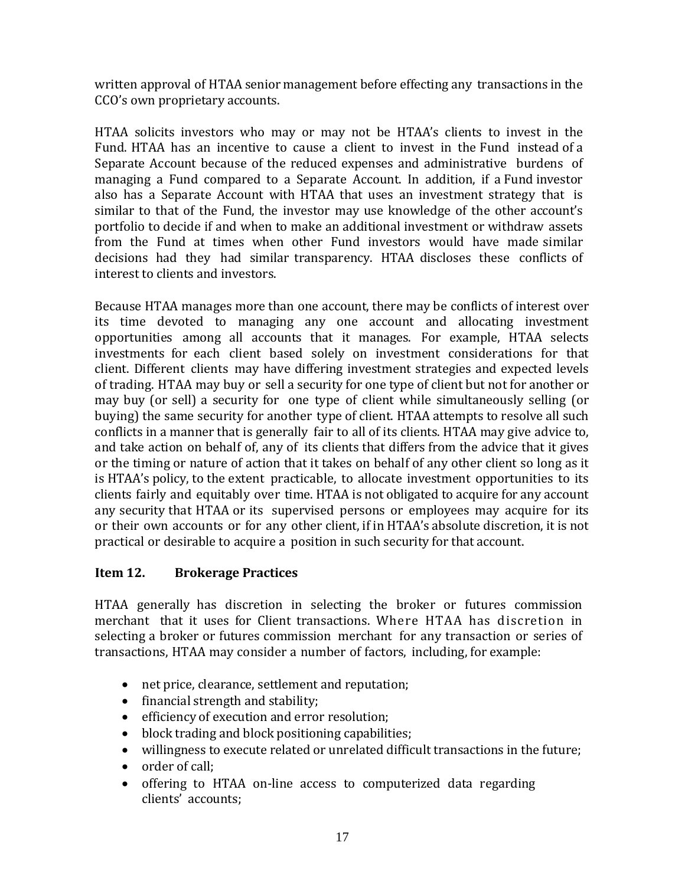written approval of HTAA senior management before effecting any transactions in the CCO's own proprietary accounts.

HTAA solicits investors who may or may not be HTAA's clients to invest in the Fund. HTAA has an incentive to cause a client to invest in the Fund instead of a Separate Account because of the reduced expenses and administrative burdens of managing a Fund compared to a Separate Account. In addition, if a Fund investor also has a Separate Account with HTAA that uses an investment strategy that is similar to that of the Fund, the investor may use knowledge of the other account's portfolio to decide if and when to make an additional investment or withdraw assets from the Fund at times when other Fund investors would have made similar decisions had they had similar transparency. HTAA discloses these conflicts of interest to clients and investors.

Because HTAA manages more than one account, there may be conflicts of interest over its time devoted to managing any one account and allocating investment opportunities among all accounts that it manages. For example, HTAA selects investments for each client based solely on investment considerations for that client. Different clients may have differing investment strategies and expected levels of trading. HTAA may buy or sell a security for one type of client but not for another or may buy (or sell) a security for one type of client while simultaneously selling (or buying) the same security for another type of client. HTAA attempts to resolve all such conflicts in a manner that is generally fair to all of its clients. HTAA may give advice to, and take action on behalf of, any of its clients that differs from the advice that it gives or the timing or nature of action that it takes on behalf of any other client so long as it is HTAA's policy, to the extent practicable, to allocate investment opportunities to its clients fairly and equitably over time. HTAA is not obligated to acquire for any account any security that HTAA or its supervised persons or employees may acquire for its or their own accounts or for any other client, if in HTAA's absolute discretion, it is not practical or desirable to acquire a position in such security for that account.

#### <span id="page-15-0"></span>**Item 12. Brokerage Practices**

HTAA generally has discretion in selecting the broker or futures commission merchant that it uses for Client transactions. Where HTAA has discretion in selecting a broker or futures commission merchant for any transaction or series of transactions, HTAA may consider a number of factors, including, for example:

- net price, clearance, settlement and reputation;
- financial strength and stability;
- efficiency of execution and error resolution;
- block trading and block positioning capabilities;
- willingness to execute related or unrelated difficult transactions in the future;
- order of call:
- offering to HTAA on-line access to computerized data regarding clients' accounts;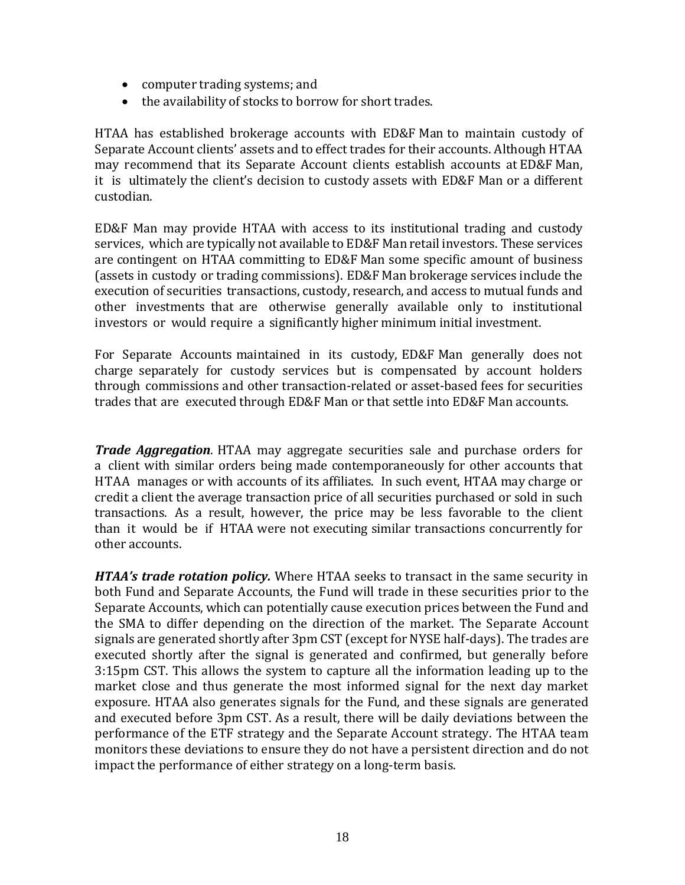- computer trading systems; and
- the availability of stocks to borrow for short trades.

HTAA has established brokerage accounts with ED&F Man to maintain custody of Separate Account clients' assets and to effect trades for their accounts. Although HTAA may recommend that its Separate Account clients establish accounts at ED&F Man, it is ultimately the client's decision to custody assets with ED&F Man or a different custodian.

ED&F Man may provide HTAA with access to its institutional trading and custody services, which are typically not available to ED&F Man retail investors. These services are contingent on HTAA committing to ED&F Man some specific amount of business (assets in custody or trading commissions). ED&F Man brokerage services include the execution of securities transactions, custody, research, and access to mutual funds and other investments that are otherwise generally available only to institutional investors or would require a significantly higher minimum initial investment.

For Separate Accounts maintained in its custody, ED&F Man generally does not charge separately for custody services but is compensated by account holders through commissions and other transaction-related or asset-based fees for securities trades that are executed through ED&F Man or that settle into ED&F Man accounts.

*Trade Aggregation*. HTAA may aggregate securities sale and purchase orders for a client with similar orders being made contemporaneously for other accounts that HTAA manages or with accounts of its affiliates. In such event, HTAA may charge or credit a client the average transaction price of all securities purchased or sold in such transactions. As a result, however, the price may be less favorable to the client than it would be if HTAA were not executing similar transactions concurrently for other accounts.

*HTAA's trade rotation policy.* Where HTAA seeks to transact in the same security in both Fund and Separate Accounts, the Fund will trade in these securities prior to the Separate Accounts, which can potentially cause execution prices between the Fund and the SMA to differ depending on the direction of the market. The Separate Account signals are generated shortly after 3pm CST (except for NYSE half-days). The trades are executed shortly after the signal is generated and confirmed, but generally before 3:15pm CST. This allows the system to capture all the information leading up to the market close and thus generate the most informed signal for the next day market exposure. HTAA also generates signals for the Fund, and these signals are generated and executed before 3pm CST. As a result, there will be daily deviations between the performance of the ETF strategy and the Separate Account strategy. The HTAA team monitors these deviations to ensure they do not have a persistent direction and do not impact the performance of either strategy on a long-term basis.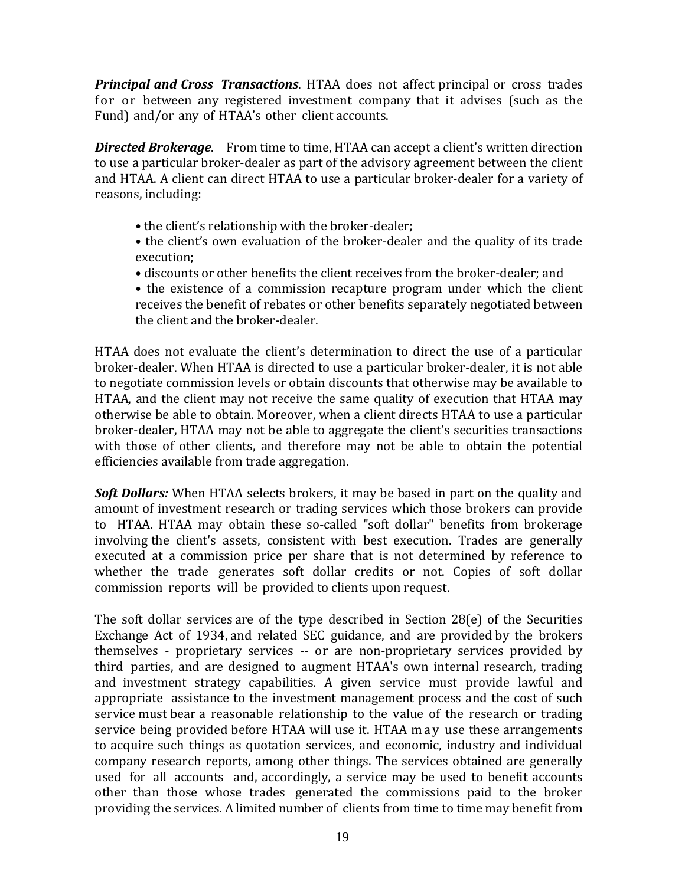*Principal and Cross Transactions*. HTAA does not affect principal or cross trades for or between any registered investment company that it advises (such as the Fund) and/or any of HTAA's other client accounts.

*Directed Brokerage*. From time to time, HTAA can accept a client's written direction to use a particular broker-dealer as part of the advisory agreement between the client and HTAA. A client can direct HTAA to use a particular broker-dealer for a variety of reasons, including:

- the client's relationship with the broker-dealer;
- the client's own evaluation of the broker-dealer and the quality of its trade execution;
- discounts or other benefits the client receives from the broker-dealer; and
- the existence of a commission recapture program under which the client receives the benefit of rebates or other benefits separately negotiated between the client and the broker-dealer.

HTAA does not evaluate the client's determination to direct the use of a particular broker-dealer. When HTAA is directed to use a particular broker-dealer, it is not able to negotiate commission levels or obtain discounts that otherwise may be available to HTAA, and the client may not receive the same quality of execution that HTAA may otherwise be able to obtain. Moreover, when a client directs HTAA to use a particular broker-dealer, HTAA may not be able to aggregate the client's securities transactions with those of other clients, and therefore may not be able to obtain the potential efficiencies available from trade aggregation.

*Soft Dollars:* When HTAA selects brokers, it may be based in part on the quality and amount of investment research or trading services which those brokers can provide to HTAA. HTAA may obtain these so-called "soft dollar" benefits from brokerage involving the client's assets, consistent with best execution. Trades are generally executed at a commission price per share that is not determined by reference to whether the trade generates soft dollar credits or not. Copies of soft dollar commission reports will be provided to clients upon request.

The soft dollar services are of the type described in Section 28(e) of the Securities Exchange Act of 1934, and related SEC guidance, and are provided by the brokers themselves - proprietary services -- or are non-proprietary services provided by third parties, and are designed to augment HTAA's own internal research, trading and investment strategy capabilities. A given service must provide lawful and appropriate assistance to the investment management process and the cost of such service must bear a reasonable relationship to the value of the research or trading service being provided before HTAA will use it. HTAA may use these arrangements to acquire such things as quotation services, and economic, industry and individual company research reports, among other things. The services obtained are generally used for all accounts and, accordingly, a service may be used to benefit accounts other than those whose trades generated the commissions paid to the broker providing the services. A limited number of clients from time to time may benefit from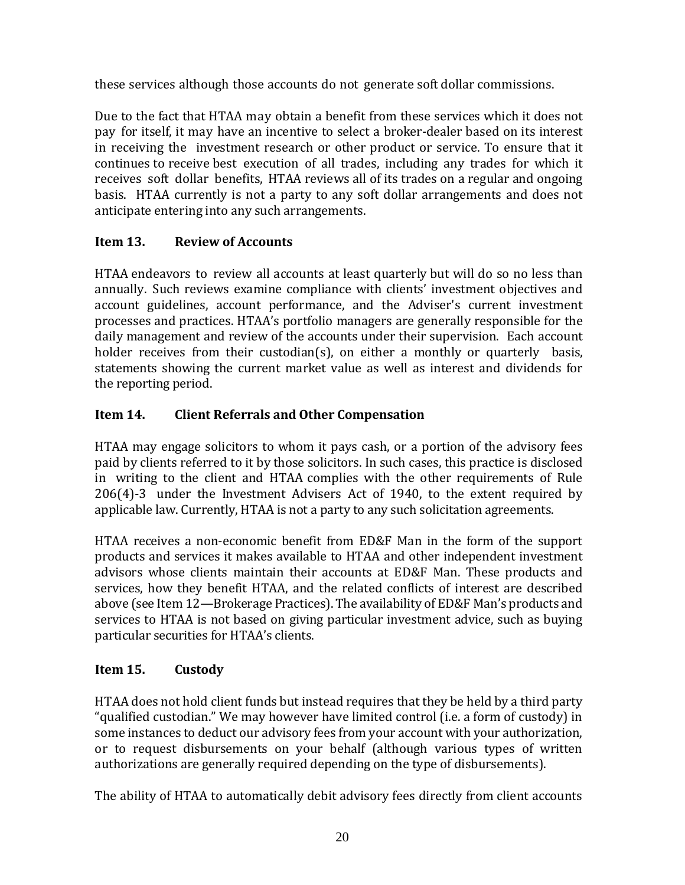these services although those accounts do not generate soft dollar commissions.

Due to the fact that HTAA may obtain a benefit from these services which it does not pay for itself, it may have an incentive to select a broker-dealer based on its interest in receiving the investment research or other product or service. To ensure that it continues to receive best execution of all trades, including any trades for which it receives soft dollar benefits, HTAA reviews all of its trades on a regular and ongoing basis. HTAA currently is not a party to any soft dollar arrangements and does not anticipate entering into any such arrangements.

# <span id="page-18-0"></span>**Item 13. Review of Accounts**

HTAA endeavors to review all accounts at least quarterly but will do so no less than annually. Such reviews examine compliance with clients' investment objectives and account guidelines, account performance, and the Adviser's current investment processes and practices. HTAA's portfolio managers are generally responsible for the daily management and review of the accounts under their supervision. Each account holder receives from their custodian(s), on either a monthly or quarterly basis, statements showing the current market value as well as interest and dividends for the reporting period.

# <span id="page-18-1"></span>**Item 14. Client Referrals and Other Compensation**

HTAA may engage solicitors to whom it pays cash, or a portion of the advisory fees paid by clients referred to it by those solicitors. In such cases, this practice is disclosed in writing to the client and HTAA complies with the other requirements of Rule 206(4)-3 under the Investment Advisers Act of 1940, to the extent required by applicable law. Currently, HTAA is not a party to any such solicitation agreements.

HTAA receives a non-economic benefit from ED&F Man in the form of the support products and services it makes available to HTAA and other independent investment advisors whose clients maintain their accounts at ED&F Man. These products and services, how they benefit HTAA, and the related conflicts of interest are described above (see Item 12—Brokerage Practices). The availability of ED&F Man's products and services to HTAA is not based on giving particular investment advice, such as buying particular securities for HTAA's clients.

# <span id="page-18-2"></span>**Item 15. Custody**

HTAA does not hold client funds but instead requires that they be held by a third party "qualified custodian." We may however have limited control (i.e. a form of custody) in some instances to deduct our advisory fees from your account with your authorization, or to request disbursements on your behalf (although various types of written authorizations are generally required depending on the type of disbursements).

The ability of HTAA to automatically debit advisory fees directly from client accounts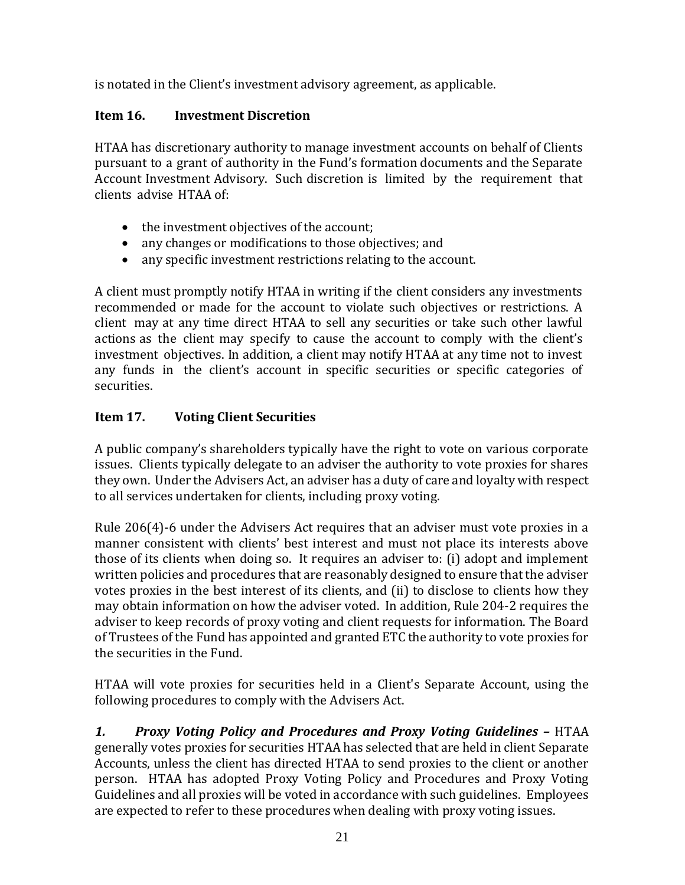is notated in the Client's investment advisory agreement, as applicable.

# <span id="page-19-0"></span>**Item 16. Investment Discretion**

HTAA has discretionary authority to manage investment accounts on behalf of Clients pursuant to a grant of authority in the Fund's formation documents and the Separate Account Investment Advisory. Such discretion is limited by the requirement that clients advise HTAA of:

- the investment objectives of the account;
- any changes or modifications to those objectives; and
- any specific investment restrictions relating to the account.

A client must promptly notify HTAA in writing if the client considers any investments recommended or made for the account to violate such objectives or restrictions. A client may at any time direct HTAA to sell any securities or take such other lawful actions as the client may specify to cause the account to comply with the client's investment objectives. In addition, a client may notify HTAA at any time not to invest any funds in the client's account in specific securities or specific categories of securities.

# <span id="page-19-1"></span>**Item 17. Voting Client Securities**

A public company's shareholders typically have the right to vote on various corporate issues. Clients typically delegate to an adviser the authority to vote proxies for shares they own. Under the Advisers Act, an adviser has a duty of care and loyalty with respect to all services undertaken for clients, including proxy voting.

Rule 206(4)-6 under the Advisers Act requires that an adviser must vote proxies in a manner consistent with clients' best interest and must not place its interests above those of its clients when doing so. It requires an adviser to: (i) adopt and implement written policies and procedures that are reasonably designed to ensure that the adviser votes proxies in the best interest of its clients, and (ii) to disclose to clients how they may obtain information on how the adviser voted. In addition, Rule 204-2 requires the adviser to keep records of proxy voting and client requests for information. The Board of Trustees of the Fund has appointed and granted ETC the authority to vote proxies for the securities in the Fund.

HTAA will vote proxies for securities held in a Client's Separate Account, using the following procedures to comply with the Advisers Act.

*1. Proxy Voting Policy and Procedures and Proxy Voting Guidelines –* HTAA generally votes proxies for securities HTAA has selected that are held in client Separate Accounts, unless the client has directed HTAA to send proxies to the client or another person. HTAA has adopted Proxy Voting Policy and Procedures and Proxy Voting Guidelines and all proxies will be voted in accordance with such guidelines.Employees are expected to refer to these procedures when dealing with proxy voting issues.